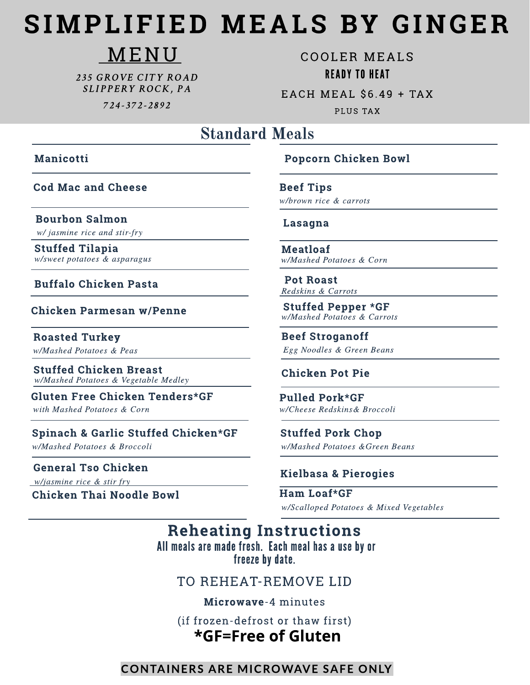# SIMPLIFIED MEALS BY GINGER

## MENU

235 GROVE CITY ROAD SLIPPERY ROCK, PA

724-372-2892

**COOLER MEALS READY TO HEAT** EACH MEAL \$6.49 + TAX

**PLUS TAX** 

### **Standard Meals**

#### **Manicotti**

**Cod Mac and Cheese** 

**Bourbon Salmon** w/ jasmine rice and stir-fry

**Stuffed Tilapia** w/sweet potatoes & asparagus

#### **Buffalo Chicken Pasta**

**Chicken Parmesan w/Penne** 

**Roasted Turkey** w/Mashed Potatoes & Peas

**Stuffed Chicken Breast** w/Mashed Potatoes & Vegetable Medley

Gluten Free Chicken Tenders\*GF with Mashed Potatoes & Corn

Spinach & Garlic Stuffed Chicken\*GF w/Mashed Potatoes & Broccoli

**General Tso Chicken** 

w/jasmine rice & stir fry

**Chicken Thai Noodle Bowl** 

#### **Popcorn Chicken Bowl**

**Beef Tips** w/brown rice & carrots

#### Lasagna

**Meatloaf** w/Mashed Potatoes & Corn

**Pot Roast** Redskins & Carrots

**Stuffed Pepper \*GF** w/Mashed Potatoes & Carrots

**Beef Stroganoff** Egg Noodles & Green Beans

#### **Chicken Pot Pie**

**Pulled Pork\*GF** w/Cheese Redskins& Broccoli

**Stuffed Pork Chop** w/Mashed Potatoes & Green Beans

#### **Kielbasa & Pierogies**

Ham Loaf\*GF w/Scalloped Potatoes & Mixed Vegetables

**Reheating Instructions** All meals are made fresh. Each meal has a use by or freeze by date.

TO REHEAT-REMOVE LID

Microwave-4 minutes

(if frozen-defrost or thaw first)

### \*GF=Free of Gluten

#### **CONTAINERS ARE MICROWAVE SAFE ONLY**